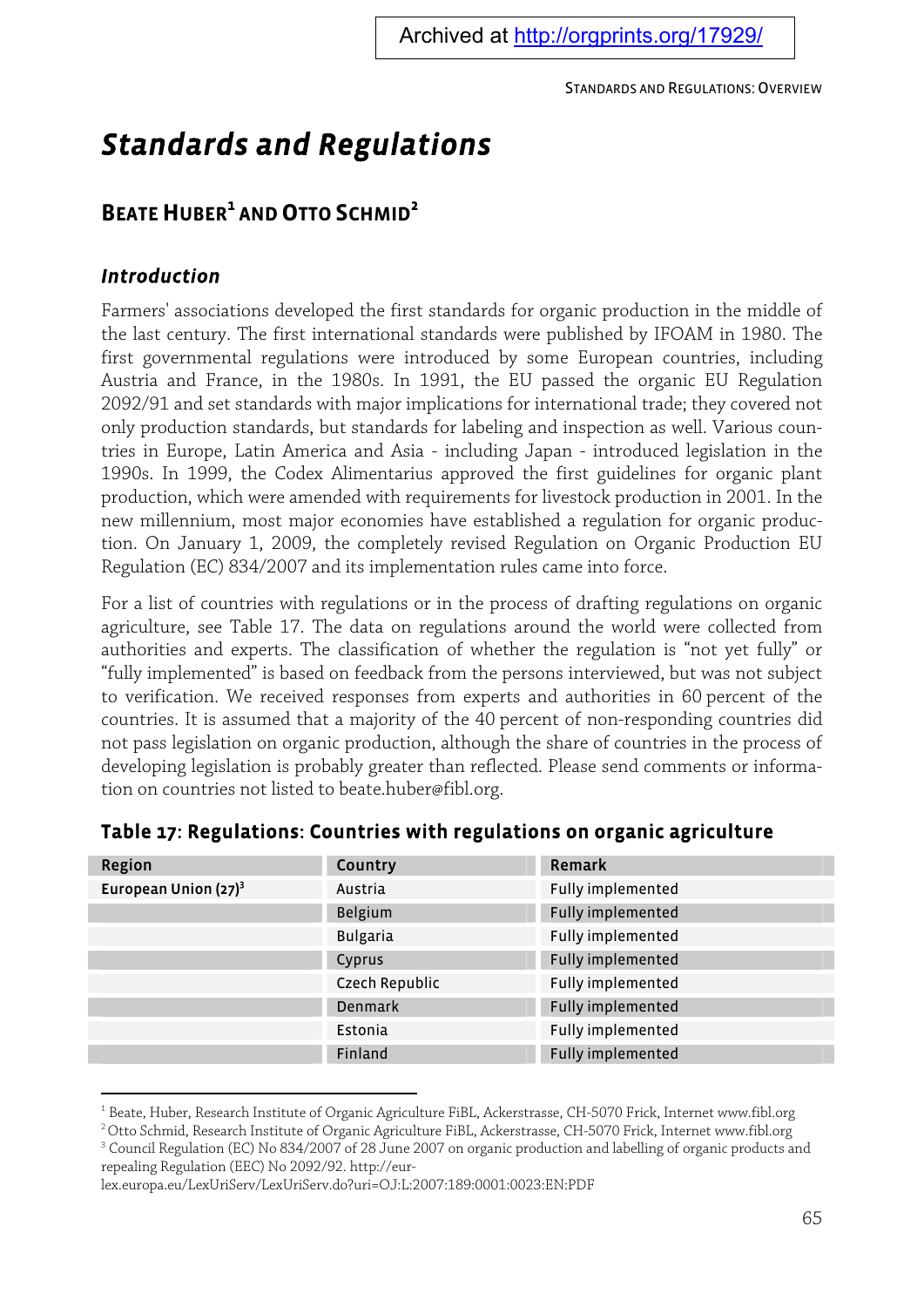# *Standards and Regulations*

# **BEATE HUBER<sup>1</sup> AND OTTO SCHMID<sup>2</sup>**

# *Introduction*

Farmers' associations developed the first standards for organic production in the middle of the last century. The first international standards were published by IFOAM in 1980. The first governmental regulations were introduced by some European countries, including Austria and France, in the 1980s. In 1991, the EU passed the organic EU Regulation 2092/91 and set standards with major implications for international trade; they covered not only production standards, but standards for labeling and inspection as well. Various countries in Europe, Latin America and Asia - including Japan - introduced legislation in the 1990s. In 1999, the Codex Alimentarius approved the first guidelines for organic plant production, which were amended with requirements for livestock production in 2001. In the new millennium, most major economies have established a regulation for organic production. On January 1, 2009, the completely revised Regulation on Organic Production EU Regulation (EC) 834/2007 and its implementation rules came into force.

For a list of countries with regulations or in the process of drafting regulations on organic agriculture, see Table 17. The data on regulations around the world were collected from authorities and experts. The classification of whether the regulation is "not yet fully" or "fully implemented" is based on feedback from the persons interviewed, but was not subject to verification. We received responses from experts and authorities in 60 percent of the countries. It is assumed that a majority of the 40 percent of non-responding countries did not pass legislation on organic production, although the share of countries in the process of developing legislation is probably greater than reflected. Please send comments or information on countries not listed to beate.huber@fibl.org.

| Region                  | Country         | Remark            |
|-------------------------|-----------------|-------------------|
| European Union $(27)^3$ | Austria         | Fully implemented |
|                         | Belgium         | Fully implemented |
|                         | <b>Bulgaria</b> | Fully implemented |
|                         | Cyprus          | Fully implemented |
|                         | Czech Republic  | Fully implemented |
|                         | <b>Denmark</b>  | Fully implemented |
|                         | Estonia         | Fully implemented |
|                         | Finland         | Fully implemented |

# Table 17: Regulations: Countries with regulations on organic agriculture

l <sup>1</sup> Beate, Huber, Research Institute of Organic Agriculture FiBL, Ackerstrasse, CH-5070 Frick, Internet www.fibl.org

<sup>&</sup>lt;sup>2</sup> Otto Schmid, Research Institute of Organic Agriculture FiBL, Ackerstrasse, CH-5070 Frick, Internet www.fibl.org

<sup>&</sup>lt;sup>3</sup> Council Regulation (EC) No 834/2007 of 28 June 2007 on organic production and labelling of organic products and repealing Regulation (EEC) No 2092/92. http://eur-

lex.europa.eu/LexUriServ/LexUriServ.do?uri=OJ:L:2007:189:0001:0023:EN:PDF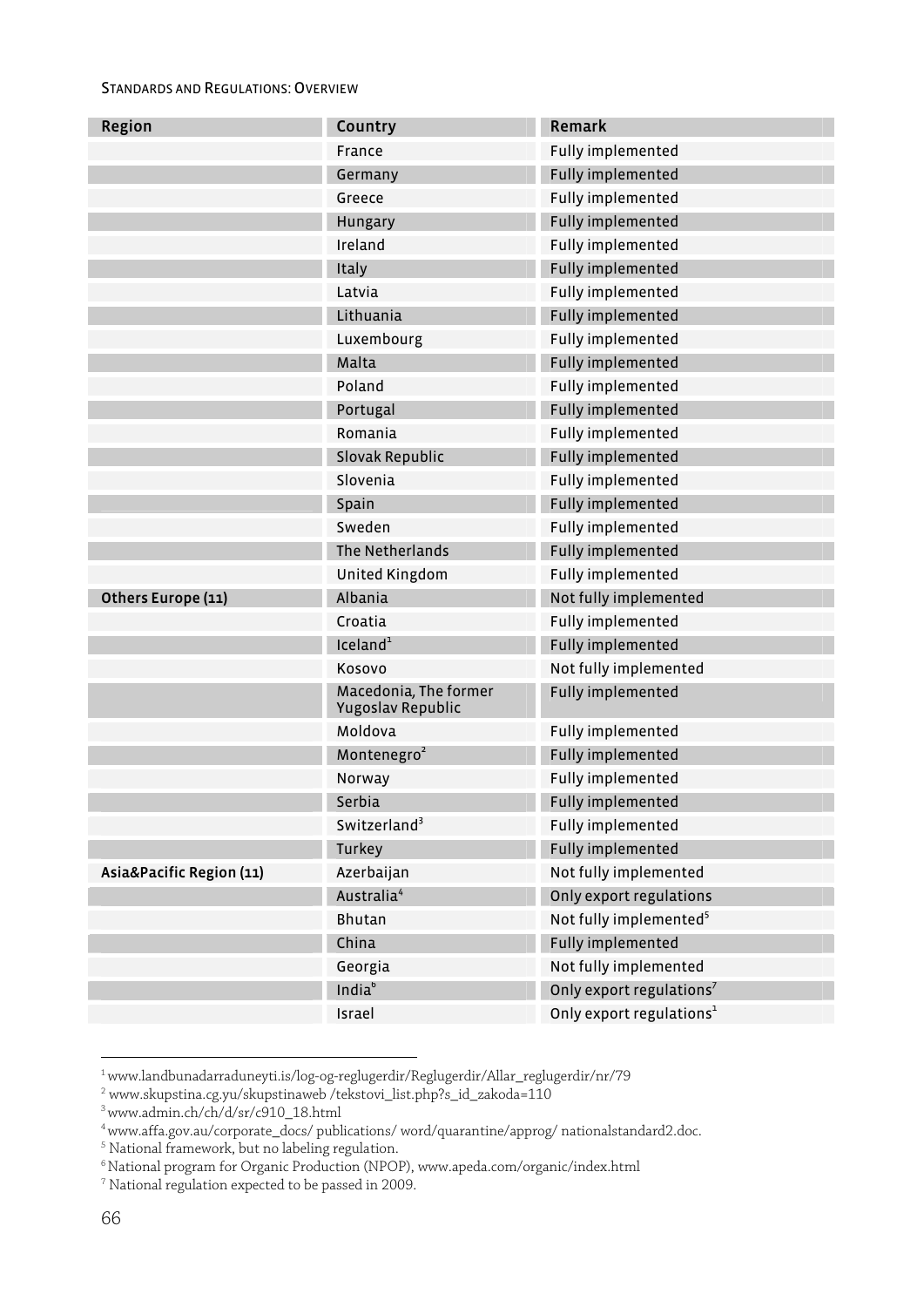| <b>Region</b>            | Country                                    | Remark                               |  |
|--------------------------|--------------------------------------------|--------------------------------------|--|
|                          | France                                     | <b>Fully implemented</b>             |  |
|                          | Germany                                    | Fully implemented                    |  |
|                          | Greece                                     | Fully implemented                    |  |
|                          | Hungary                                    | Fully implemented                    |  |
|                          | Ireland                                    | Fully implemented                    |  |
|                          | Italy                                      | Fully implemented                    |  |
|                          | Latvia                                     | Fully implemented                    |  |
|                          | Lithuania                                  | Fully implemented                    |  |
|                          | Luxembourg                                 | Fully implemented                    |  |
|                          | Malta                                      | Fully implemented                    |  |
|                          | Poland                                     | Fully implemented                    |  |
|                          | Portugal                                   | Fully implemented                    |  |
|                          | Romania                                    | Fully implemented                    |  |
|                          | Slovak Republic                            | Fully implemented                    |  |
|                          | Slovenia                                   | Fully implemented                    |  |
|                          | Spain                                      | <b>Fully implemented</b>             |  |
|                          | Sweden                                     | Fully implemented                    |  |
|                          | The Netherlands                            | Fully implemented                    |  |
|                          | United Kingdom                             | Fully implemented                    |  |
| Others Europe (11)       | Albania                                    | Not fully implemented                |  |
|                          | Croatia                                    | Fully implemented                    |  |
|                          | $I$ celand $I$                             | Fully implemented                    |  |
|                          | Kosovo                                     | Not fully implemented                |  |
|                          | Macedonia, The former<br>Yugoslav Republic | Fully implemented                    |  |
|                          | Moldova                                    | Fully implemented                    |  |
|                          | Montenegro <sup>2</sup>                    | Fully implemented                    |  |
|                          | Norway                                     | Fully implemented                    |  |
|                          | Serbia                                     | <b>Fully implemented</b>             |  |
|                          | Switzerland <sup>3</sup>                   | Fully implemented                    |  |
|                          | Turkey                                     | Fully implemented                    |  |
| Asia&Pacific Region (11) | Azerbaijan                                 | Not fully implemented                |  |
|                          | Australia <sup>4</sup>                     | Only export regulations              |  |
|                          | Bhutan                                     | Not fully implemented <sup>5</sup>   |  |
|                          | China                                      | <b>Fully implemented</b>             |  |
|                          | Georgia                                    | Not fully implemented                |  |
|                          | India <sup>6</sup>                         | Only export regulations <sup>7</sup> |  |
|                          | Israel                                     | Only export regulations <sup>1</sup> |  |

 $\overline{a}$  $^1$ www.landbunadarraduneyti.is/log-og-reglugerdir/Reglugerdir/Allar\_reglugerdir/nr/79<br> $^2$ www.skupstina.ca.vu/skupstinaweb/tekstovi. list.php?s\_id\_zakoda=110

www.skupstina.cg.yu/skupstinaweb /tekstovi\_list.php?s\_id\_zakoda=110

 $3$ www.admin.ch/ch/d/sr/c910\_18.html

<sup>4</sup> www.affa.gov.au/corporate\_docs/ publications/ word/quarantine/approg/ nationalstandard2.doc. 5

<sup>&</sup>lt;sup>5</sup> National framework, but no labeling regulation.

<sup>6</sup> National program for Organic Production (NPOP), www.apeda.com/organic/index.html

<sup>7</sup> National regulation expected to be passed in 2009.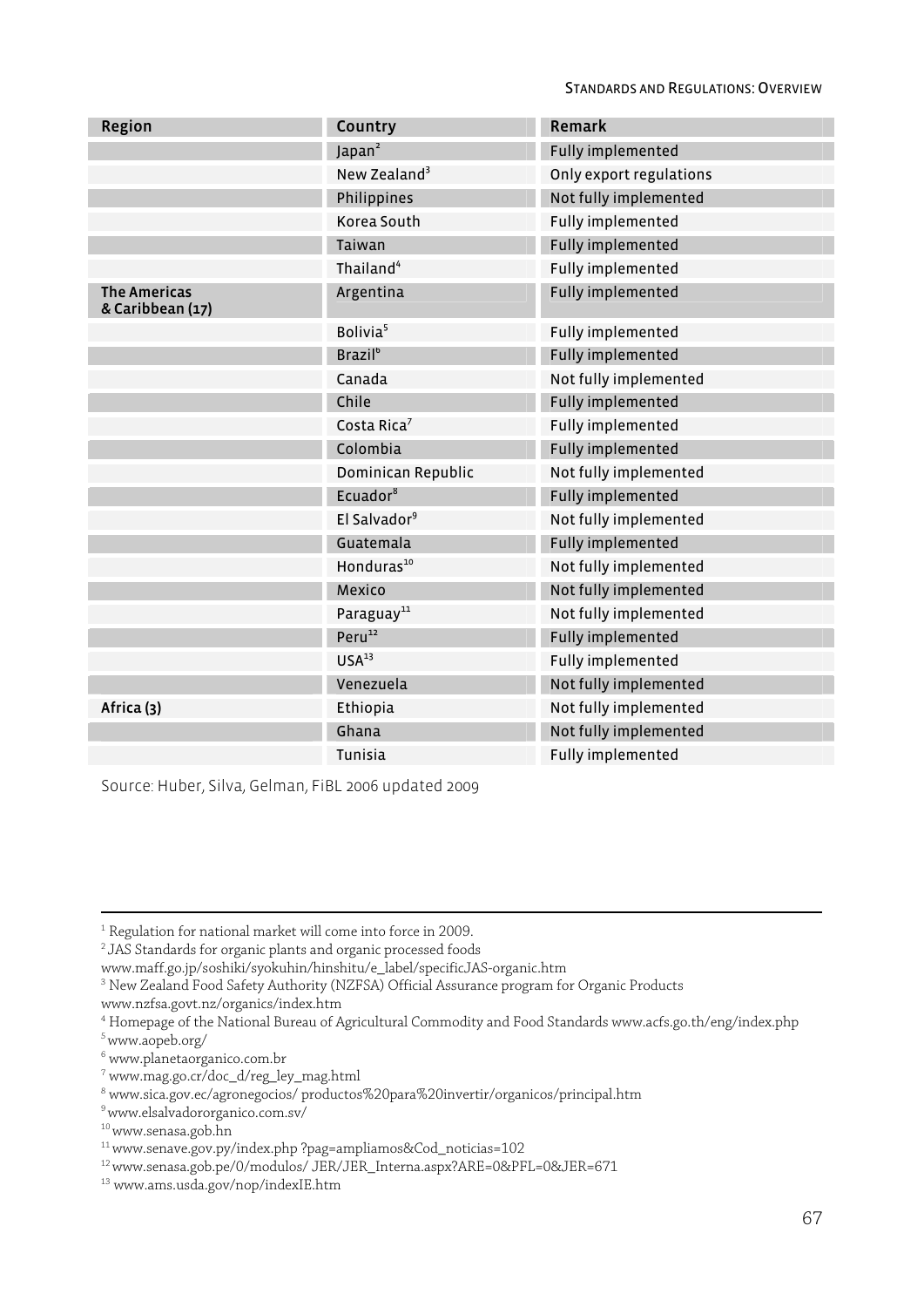| Region                                  | Country                                                                                                   | Remark                   |
|-----------------------------------------|-----------------------------------------------------------------------------------------------------------|--------------------------|
|                                         | Japan <sup>2</sup>                                                                                        | Fully implemented        |
|                                         | New Zealand <sup>3</sup>                                                                                  | Only export regulations  |
|                                         | Philippines                                                                                               | Not fully implemented    |
|                                         | Korea South                                                                                               | Fully implemented        |
|                                         | Taiwan                                                                                                    | Fully implemented        |
|                                         | Thailand <sup>4</sup><br>Fully implemented                                                                |                          |
| <b>The Americas</b><br>& Caribbean (17) | Argentina                                                                                                 | Fully implemented        |
|                                         | Bolivia <sup>5</sup>                                                                                      | Fully implemented        |
|                                         | Brazil <sup>6</sup><br>Fully implemented<br>Canada<br>Not fully implemented<br>Chile<br>Fully implemented |                          |
|                                         |                                                                                                           |                          |
|                                         |                                                                                                           |                          |
|                                         | Costa Rica <sup>7</sup>                                                                                   | <b>Fully implemented</b> |
|                                         | Colombia                                                                                                  | Fully implemented        |
|                                         | Dominican Republic                                                                                        | Not fully implemented    |
|                                         | Ecuador <sup>8</sup>                                                                                      | Fully implemented        |
|                                         | El Salvador <sup>9</sup>                                                                                  | Not fully implemented    |
|                                         | Guatemala                                                                                                 | Fully implemented        |
|                                         | Honduras <sup>10</sup>                                                                                    | Not fully implemented    |
|                                         | Not fully implemented<br>Mexico                                                                           |                          |
|                                         | Paraguay <sup>11</sup>                                                                                    | Not fully implemented    |
|                                         | Peru <sup>12</sup>                                                                                        | Fully implemented        |
|                                         | USA <sup>13</sup>                                                                                         | Fully implemented        |
|                                         | Venezuela                                                                                                 | Not fully implemented    |
| Africa (3)                              | Ethiopia                                                                                                  | Not fully implemented    |
|                                         | Ghana                                                                                                     | Not fully implemented    |
|                                         | Tunisia                                                                                                   | Fully implemented        |

Source: Huber, Silva, Gelman, FiBL 2006 updated 2009

 1 Regulation for national market will come into force in 2009.

<sup>&</sup>lt;sup>2</sup> JAS Standards for organic plants and organic processed foods

www.maff.go.jp/soshiki/syokuhin/hinshitu/e\_label/specificJAS-organic.htm 3

<sup>&</sup>lt;sup>3</sup> New Zealand Food Safety Authority (NZFSA) Official Assurance program for Organic Products

www.nzfsa.govt.nz/organics/index.htm

<sup>&</sup>lt;sup>4</sup> Homepage of the National Bureau of Agricultural Commodity and Food Standards www.acfs.go.th/eng/index.php<br><sup>5</sup> www.aopeb.org/

<sup>6</sup> www.planetaorganico.com.br

<sup>7</sup> www.mag.go.cr/doc\_d/reg\_ley\_mag.html

<sup>&</sup>lt;sup>8</sup> www.sica.gov.ec/agronegocios/ productos%20para%20invertir/organicos/principal.htm<br><sup>9</sup> www.elsalvadororganico.com.sv/

<sup>&</sup>lt;sup>10</sup> www.senasa.gob.hn<br><sup>11</sup> www.senave.gov.py/index.php ?pag=ampliamos&Cod\_noticias=102

<sup>&</sup>lt;sup>12</sup> www.senasa.gob.pe/0/modulos/ JER/JER\_Interna.aspx?ARE=0&PFL=0&JER=671 <sup>13</sup> www.ams.usda.gov/nop/indexIE.htm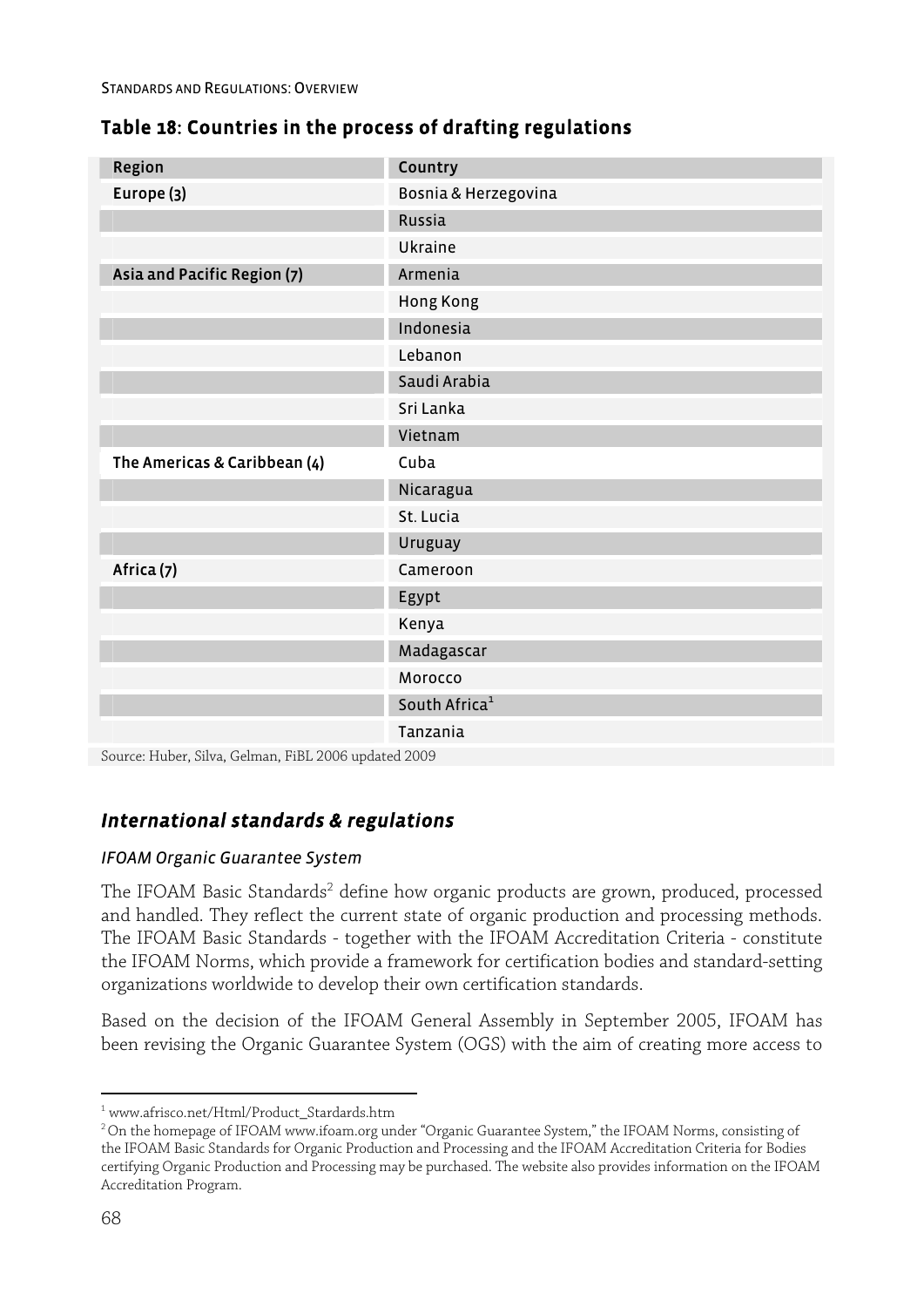|  | Table 18: Countries in the process of drafting regulations |
|--|------------------------------------------------------------|
|--|------------------------------------------------------------|

| Region                       | Country                   |
|------------------------------|---------------------------|
| Europe (3)                   | Bosnia & Herzegovina      |
|                              | Russia                    |
|                              | Ukraine                   |
| Asia and Pacific Region (7)  | Armenia                   |
|                              | Hong Kong                 |
|                              | Indonesia                 |
|                              | Lebanon                   |
|                              | Saudi Arabia              |
|                              | Sri Lanka                 |
|                              | Vietnam                   |
| The Americas & Caribbean (4) | Cuba                      |
|                              | Nicaragua                 |
|                              | St. Lucia                 |
|                              | <b>Uruguay</b>            |
| Africa (7)                   | Cameroon                  |
|                              | Egypt                     |
|                              | Kenya                     |
|                              | Madagascar                |
|                              | Morocco                   |
|                              | South Africa <sup>1</sup> |
|                              | Tanzania                  |

Source: Huber, Silva, Gelman, FiBL 2006 updated 2009

# *International standards & regulations*

### *IFOAM Organic Guarantee System*

The IFOAM Basic Standards<sup>2</sup> define how organic products are grown, produced, processed and handled. They reflect the current state of organic production and processing methods. The IFOAM Basic Standards - together with the IFOAM Accreditation Criteria - constitute the IFOAM Norms, which provide a framework for certification bodies and standard-setting organizations worldwide to develop their own certification standards.

Based on the decision of the IFOAM General Assembly in September 2005, IFOAM has been revising the Organic Guarantee System (OGS) with the aim of creating more access to

l 1 www.afrisco.net/Html/Product\_Stardards.htm

<sup>&</sup>lt;sup>2</sup> On the homepage of IFOAM www.ifoam.org under "Organic Guarantee System," the IFOAM Norms, consisting of the IFOAM Basic Standards for Organic Production and Processing and the IFOAM Accreditation Criteria for Bodies certifying Organic Production and Processing may be purchased. The website also provides information on the IFOAM Accreditation Program.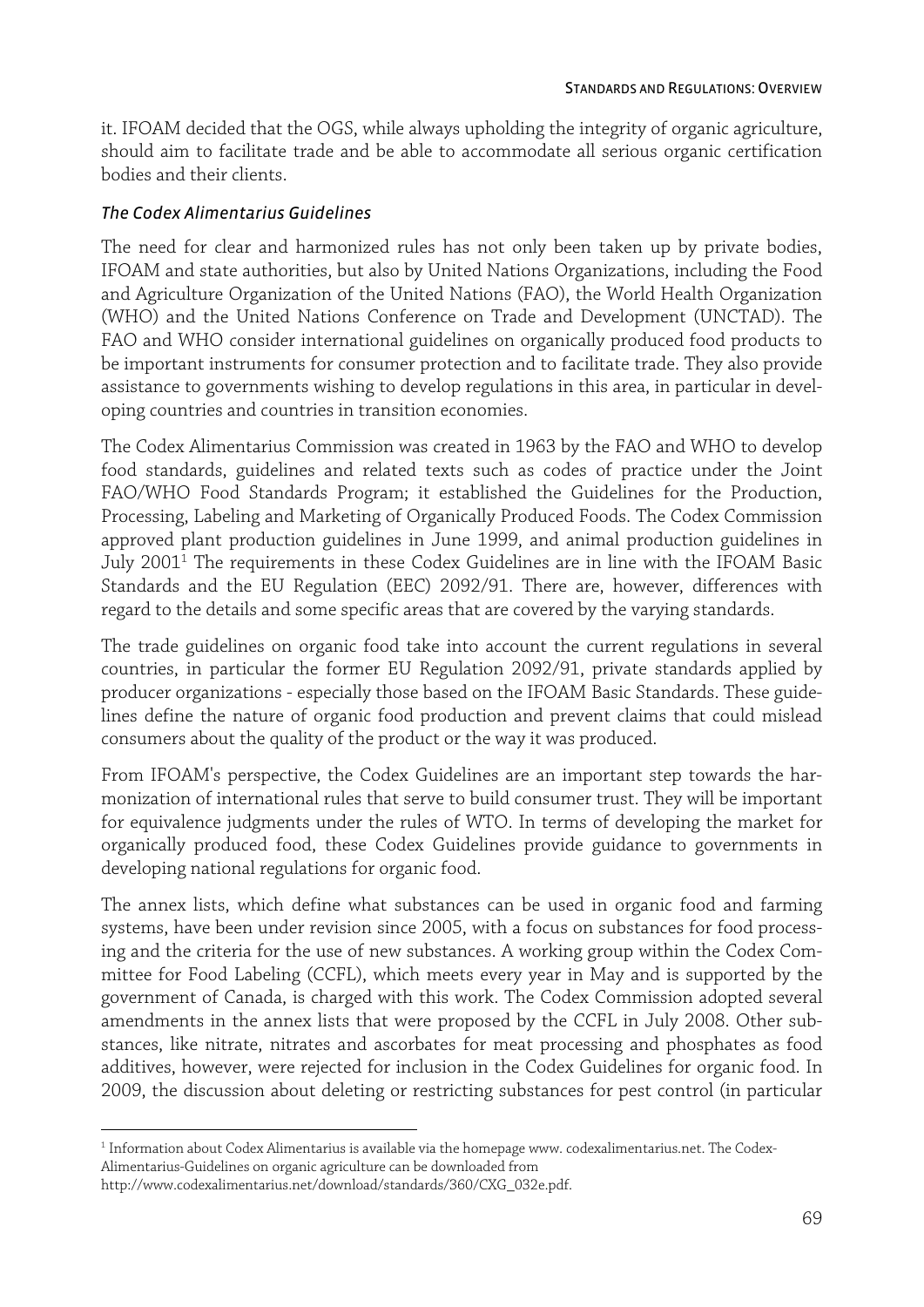it. IFOAM decided that the OGS, while always upholding the integrity of organic agriculture, should aim to facilitate trade and be able to accommodate all serious organic certification bodies and their clients.

### *The Codex Alimentarius Guidelines*

The need for clear and harmonized rules has not only been taken up by private bodies, IFOAM and state authorities, but also by United Nations Organizations, including the Food and Agriculture Organization of the United Nations (FAO), the World Health Organization (WHO) and the United Nations Conference on Trade and Development (UNCTAD). The FAO and WHO consider international guidelines on organically produced food products to be important instruments for consumer protection and to facilitate trade. They also provide assistance to governments wishing to develop regulations in this area, in particular in developing countries and countries in transition economies.

The Codex Alimentarius Commission was created in 1963 by the FAO and WHO to develop food standards, guidelines and related texts such as codes of practice under the Joint FAO/WHO Food Standards Program; it established the Guidelines for the Production, Processing, Labeling and Marketing of Organically Produced Foods. The Codex Commission approved plant production guidelines in June 1999, and animal production guidelines in July 2001<sup>1</sup> The requirements in these Codex Guidelines are in line with the IFOAM Basic Standards and the EU Regulation (EEC) 2092/91. There are, however, differences with regard to the details and some specific areas that are covered by the varying standards.

The trade guidelines on organic food take into account the current regulations in several countries, in particular the former EU Regulation 2092/91, private standards applied by producer organizations - especially those based on the IFOAM Basic Standards. These guidelines define the nature of organic food production and prevent claims that could mislead consumers about the quality of the product or the way it was produced.

From IFOAM's perspective, the Codex Guidelines are an important step towards the harmonization of international rules that serve to build consumer trust. They will be important for equivalence judgments under the rules of WTO. In terms of developing the market for organically produced food, these Codex Guidelines provide guidance to governments in developing national regulations for organic food.

The annex lists, which define what substances can be used in organic food and farming systems, have been under revision since 2005, with a focus on substances for food processing and the criteria for the use of new substances. A working group within the Codex Committee for Food Labeling (CCFL), which meets every year in May and is supported by the government of Canada, is charged with this work. The Codex Commission adopted several amendments in the annex lists that were proposed by the CCFL in July 2008. Other substances, like nitrate, nitrates and ascorbates for meat processing and phosphates as food additives, however, were rejected for inclusion in the Codex Guidelines for organic food. In 2009, the discussion about deleting or restricting substances for pest control (in particular

l  $^{\rm 1}$  Information about Codex Alimentarius is available via the homepage www. codexalimentarius.net. The Codex-Alimentarius-Guidelines on organic agriculture can be downloaded from

http://www.codexalimentarius.net/download/standards/360/CXG\_032e.pdf.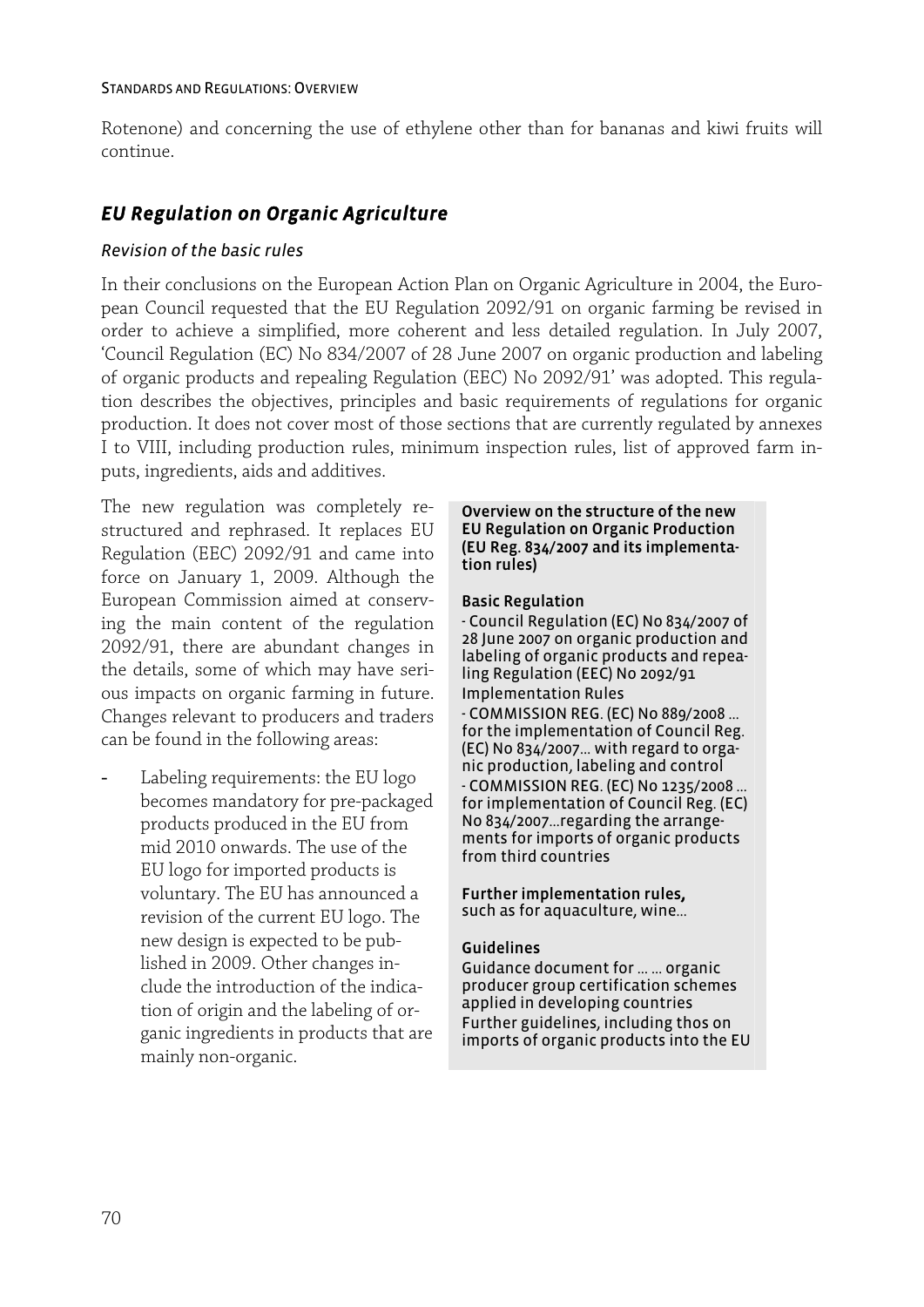Rotenone) and concerning the use of ethylene other than for bananas and kiwi fruits will continue.

# *EU Regulation on Organic Agriculture*

### *Revision of the basic rules*

In their conclusions on the European Action Plan on Organic Agriculture in 2004, the European Council requested that the EU Regulation 2092/91 on organic farming be revised in order to achieve a simplified, more coherent and less detailed regulation. In July 2007, 'Council Regulation (EC) No 834/2007 of 28 June 2007 on organic production and labeling of organic products and repealing Regulation (EEC) No 2092/91' was adopted. This regulation describes the objectives, principles and basic requirements of regulations for organic production. It does not cover most of those sections that are currently regulated by annexes I to VIII, including production rules, minimum inspection rules, list of approved farm inputs, ingredients, aids and additives.

The new regulation was completely restructured and rephrased. It replaces EU Regulation (EEC) 2092/91 and came into force on January 1, 2009. Although the European Commission aimed at conserving the main content of the regulation 2092/91, there are abundant changes in the details, some of which may have serious impacts on organic farming in future. Changes relevant to producers and traders can be found in the following areas:

Labeling requirements: the EU logo becomes mandatory for pre-packaged products produced in the EU from mid 2010 onwards. The use of the EU logo for imported products is voluntary. The EU has announced a revision of the current EU logo. The new design is expected to be published in 2009. Other changes include the introduction of the indication of origin and the labeling of organic ingredients in products that are mainly non-organic.

#### Overview on the structure of the new EU Regulation on Organic Production (EU Reg. 834/2007 and its implementation rules)

#### Basic Regulation

- Council Regulation (EC) No 834/2007 of 28 June 2007 on organic production and labeling of organic products and repealing Regulation (EEC) No 2092/91 Implementation Rules - COMMISSION REG. (EC) No 889/2008 … for the implementation of Council Reg. (EC) No 834/2007… with regard to organic production, labeling and control - COMMISSION REG. (EC) No 1235/2008 … for implementation of Council Reg. (EC) No 834/2007…regarding the arrangements for imports of organic products from third countries

Further implementation rules, such as for aquaculture, wine…

#### **Guidelines**

Guidance document for … … organic producer group certification schemes applied in developing countries Further guidelines, including thos on imports of organic products into the EU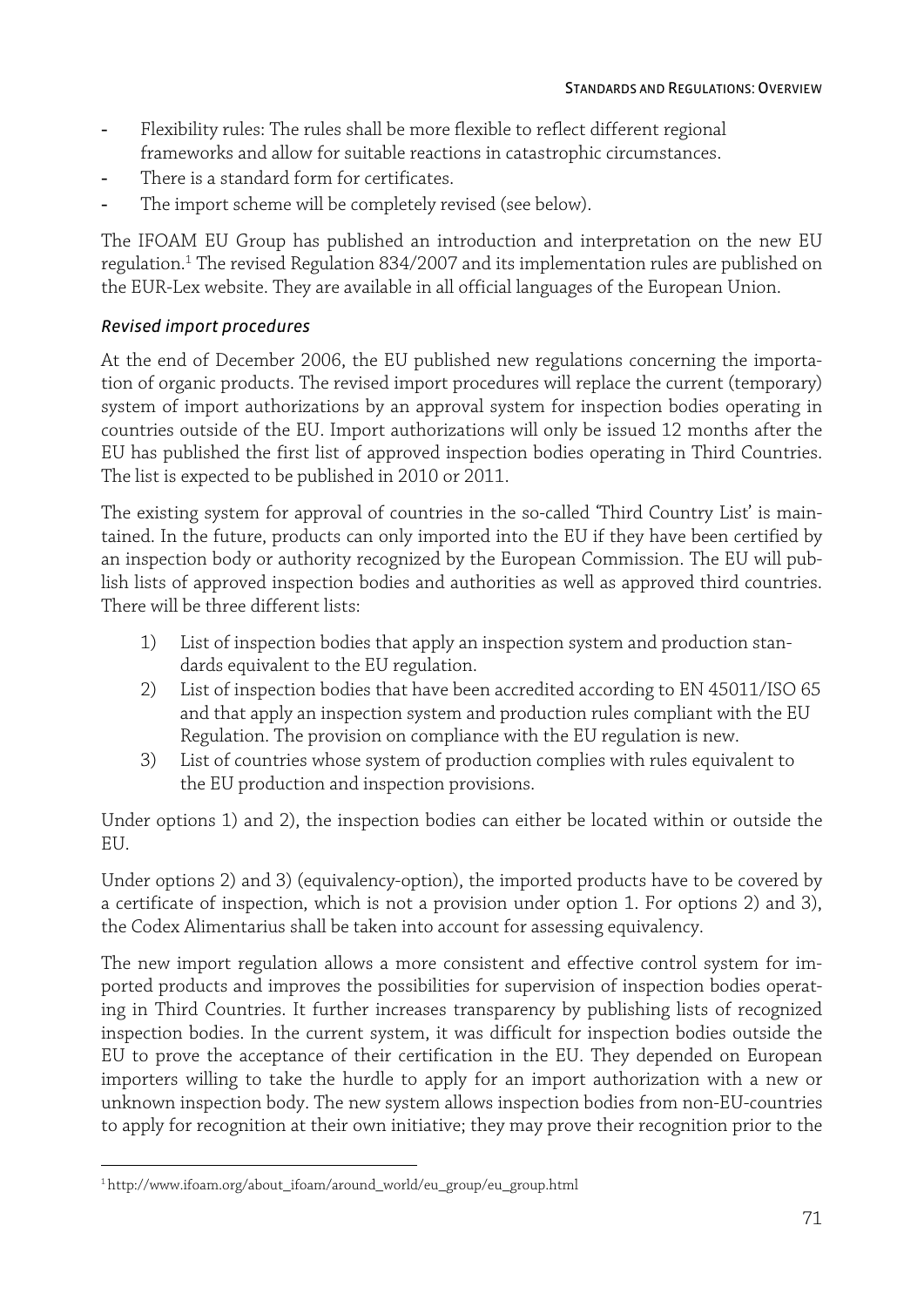- Flexibility rules: The rules shall be more flexible to reflect different regional frameworks and allow for suitable reactions in catastrophic circumstances.
- There is a standard form for certificates.
- The import scheme will be completely revised (see below).

The IFOAM EU Group has published an introduction and interpretation on the new EU regulation.<sup>1</sup> The revised Regulation 834/2007 and its implementation rules are published on the EUR-Lex website. They are available in all official languages of the European Union.

# *Revised import procedures*

At the end of December 2006, the EU published new regulations concerning the importation of organic products. The revised import procedures will replace the current (temporary) system of import authorizations by an approval system for inspection bodies operating in countries outside of the EU. Import authorizations will only be issued 12 months after the EU has published the first list of approved inspection bodies operating in Third Countries. The list is expected to be published in 2010 or 2011.

The existing system for approval of countries in the so-called 'Third Country List' is maintained. In the future, products can only imported into the EU if they have been certified by an inspection body or authority recognized by the European Commission. The EU will publish lists of approved inspection bodies and authorities as well as approved third countries. There will be three different lists:

- 1) List of inspection bodies that apply an inspection system and production standards equivalent to the EU regulation.
- 2) List of inspection bodies that have been accredited according to EN 45011/ISO 65 and that apply an inspection system and production rules compliant with the EU Regulation. The provision on compliance with the EU regulation is new.
- 3) List of countries whose system of production complies with rules equivalent to the EU production and inspection provisions.

Under options 1) and 2), the inspection bodies can either be located within or outside the EU.

Under options 2) and 3) (equivalency-option), the imported products have to be covered by a certificate of inspection, which is not a provision under option 1. For options 2) and 3), the Codex Alimentarius shall be taken into account for assessing equivalency.

The new import regulation allows a more consistent and effective control system for imported products and improves the possibilities for supervision of inspection bodies operating in Third Countries. It further increases transparency by publishing lists of recognized inspection bodies. In the current system, it was difficult for inspection bodies outside the EU to prove the acceptance of their certification in the EU. They depended on European importers willing to take the hurdle to apply for an import authorization with a new or unknown inspection body. The new system allows inspection bodies from non-EU-countries to apply for recognition at their own initiative; they may prove their recognition prior to the

 $\overline{a}$ 1 http://www.ifoam.org/about\_ifoam/around\_world/eu\_group/eu\_group.html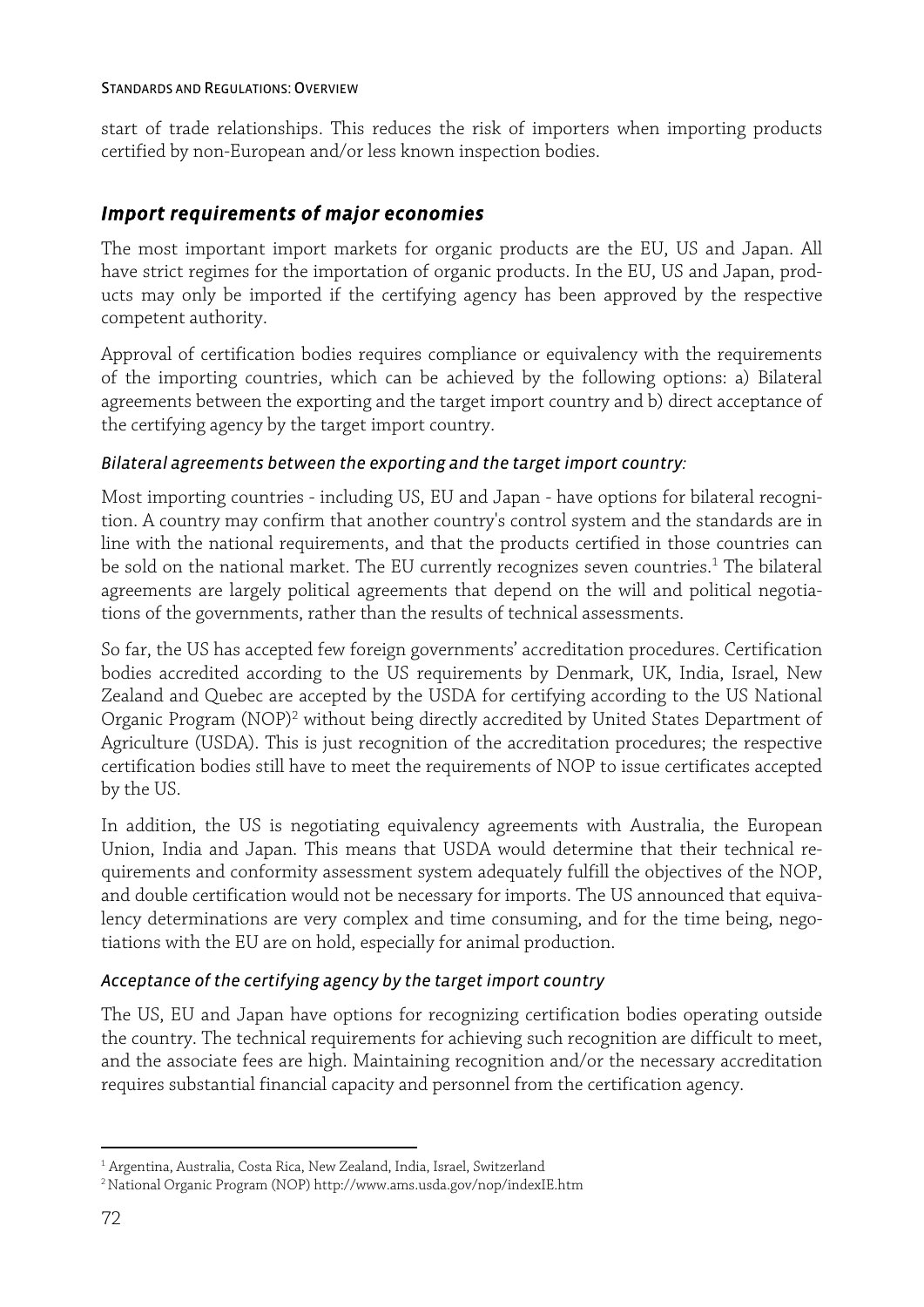start of trade relationships. This reduces the risk of importers when importing products certified by non-European and/or less known inspection bodies.

# *Import requirements of major economies*

The most important import markets for organic products are the EU, US and Japan. All have strict regimes for the importation of organic products. In the EU, US and Japan, products may only be imported if the certifying agency has been approved by the respective competent authority.

Approval of certification bodies requires compliance or equivalency with the requirements of the importing countries, which can be achieved by the following options: a) Bilateral agreements between the exporting and the target import country and b) direct acceptance of the certifying agency by the target import country.

### *Bilateral agreements between the exporting and the target import country:*

Most importing countries - including US, EU and Japan - have options for bilateral recognition. A country may confirm that another country's control system and the standards are in line with the national requirements, and that the products certified in those countries can be sold on the national market. The EU currently recognizes seven countries. $^{\rm 1}$  The bilateral agreements are largely political agreements that depend on the will and political negotiations of the governments, rather than the results of technical assessments.

So far, the US has accepted few foreign governments' accreditation procedures. Certification bodies accredited according to the US requirements by Denmark, UK, India, Israel, New Zealand and Quebec are accepted by the USDA for certifying according to the US National Organic Program (NOP)<sup>2</sup> without being directly accredited by United States Department of Agriculture (USDA). This is just recognition of the accreditation procedures; the respective certification bodies still have to meet the requirements of NOP to issue certificates accepted by the US.

In addition, the US is negotiating equivalency agreements with Australia, the European Union, India and Japan. This means that USDA would determine that their technical requirements and conformity assessment system adequately fulfill the objectives of the NOP, and double certification would not be necessary for imports. The US announced that equivalency determinations are very complex and time consuming, and for the time being, negotiations with the EU are on hold, especially for animal production.

### *Acceptance of the certifying agency by the target import country*

The US, EU and Japan have options for recognizing certification bodies operating outside the country. The technical requirements for achieving such recognition are difficult to meet, and the associate fees are high. Maintaining recognition and/or the necessary accreditation requires substantial financial capacity and personnel from the certification agency.

 $\overline{a}$ <sup>1</sup> Argentina, Australia, Costa Rica, New Zealand, India, Israel, Switzerland

<sup>2</sup> National Organic Program (NOP) http://www.ams.usda.gov/nop/indexIE.htm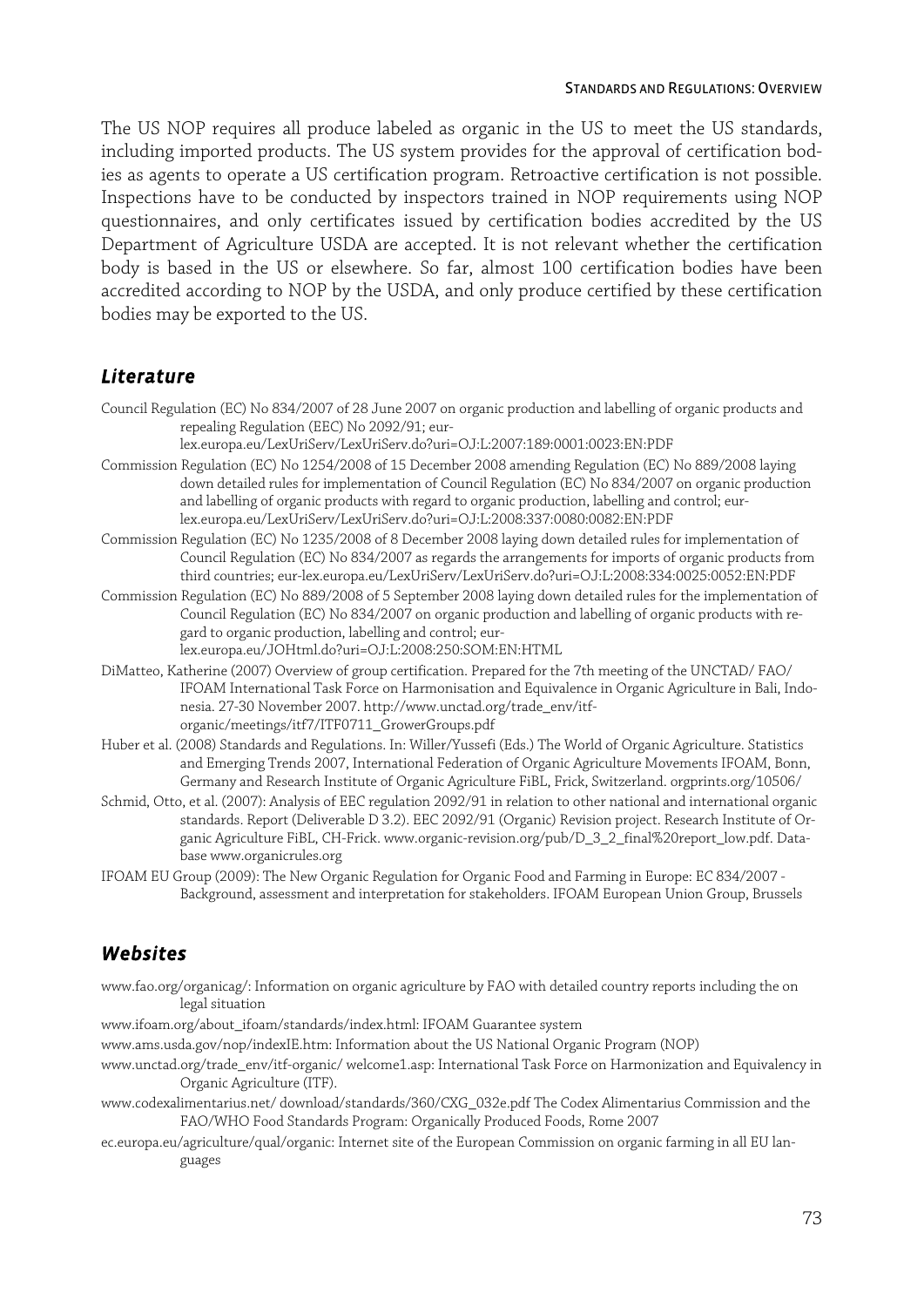The US NOP requires all produce labeled as organic in the US to meet the US standards, including imported products. The US system provides for the approval of certification bodies as agents to operate a US certification program. Retroactive certification is not possible. Inspections have to be conducted by inspectors trained in NOP requirements using NOP questionnaires, and only certificates issued by certification bodies accredited by the US Department of Agriculture USDA are accepted. It is not relevant whether the certification body is based in the US or elsewhere. So far, almost 100 certification bodies have been accredited according to NOP by the USDA, and only produce certified by these certification bodies may be exported to the US.

### *Literature*

Council Regulation (EC) No 834/2007 of 28 June 2007 on organic production and labelling of organic products and repealing Regulation (EEC) No 2092/91; eur-

lex.europa.eu/LexUriServ/LexUriServ.do?uri=OJ:L:2007:189:0001:0023:EN:PDF

- Commission Regulation (EC) No 1254/2008 of 15 December 2008 amending Regulation (EC) No 889/2008 laying down detailed rules for implementation of Council Regulation (EC) No 834/2007 on organic production and labelling of organic products with regard to organic production, labelling and control; eurlex.europa.eu/LexUriServ/LexUriServ.do?uri=OJ:L:2008:337:0080:0082:EN:PDF
- Commission Regulation (EC) No 1235/2008 of 8 December 2008 laying down detailed rules for implementation of Council Regulation (EC) No 834/2007 as regards the arrangements for imports of organic products from third countries; eur-lex.europa.eu/LexUriServ/LexUriServ.do?uri=OJ:L:2008:334:0025:0052:EN:PDF
- Commission Regulation (EC) No 889/2008 of 5 September 2008 laying down detailed rules for the implementation of Council Regulation (EC) No 834/2007 on organic production and labelling of organic products with regard to organic production, labelling and control; eur-

lex.europa.eu/JOHtml.do?uri=OJ:L:2008:250:SOM:EN:HTML

- DiMatteo, Katherine (2007) Overview of group certification. Prepared for the 7th meeting of the UNCTAD/ FAO/ IFOAM International Task Force on Harmonisation and Equivalence in Organic Agriculture in Bali, Indonesia. 27-30 November 2007. http://www.unctad.org/trade\_env/itforganic/meetings/itf7/ITF0711\_GrowerGroups.pdf
- Huber et al. (2008) Standards and Regulations. In: Willer/Yussefi (Eds.) The World of Organic Agriculture. Statistics and Emerging Trends 2007, International Federation of Organic Agriculture Movements IFOAM, Bonn, Germany and Research Institute of Organic Agriculture FiBL, Frick, Switzerland. orgprints.org/10506/
- Schmid, Otto, et al. (2007): Analysis of EEC regulation 2092/91 in relation to other national and international organic standards. Report (Deliverable D 3.2). EEC 2092/91 (Organic) Revision project. Research Institute of Organic Agriculture FiBL, CH-Frick. www.organic-revision.org/pub/D\_3\_2\_final%20report\_low.pdf. Database www.organicrules.org
- IFOAM EU Group (2009): The New Organic Regulation for Organic Food and Farming in Europe: EC 834/2007 Background, assessment and interpretation for stakeholders. IFOAM European Union Group, Brussels

# *Websites*

- www.fao.org/organicag/: Information on organic agriculture by FAO with detailed country reports including the on legal situation
- www.ifoam.org/about\_ifoam/standards/index.html: IFOAM Guarantee system
- www.ams.usda.gov/nop/indexIE.htm: Information about the US National Organic Program (NOP)
- www.unctad.org/trade\_env/itf-organic/ welcome1.asp: International Task Force on Harmonization and Equivalency in Organic Agriculture (ITF).
- www.codexalimentarius.net/ download/standards/360/CXG\_032e.pdf The Codex Alimentarius Commission and the FAO/WHO Food Standards Program: Organically Produced Foods, Rome 2007
- ec.europa.eu/agriculture/qual/organic: Internet site of the European Commission on organic farming in all EU languages